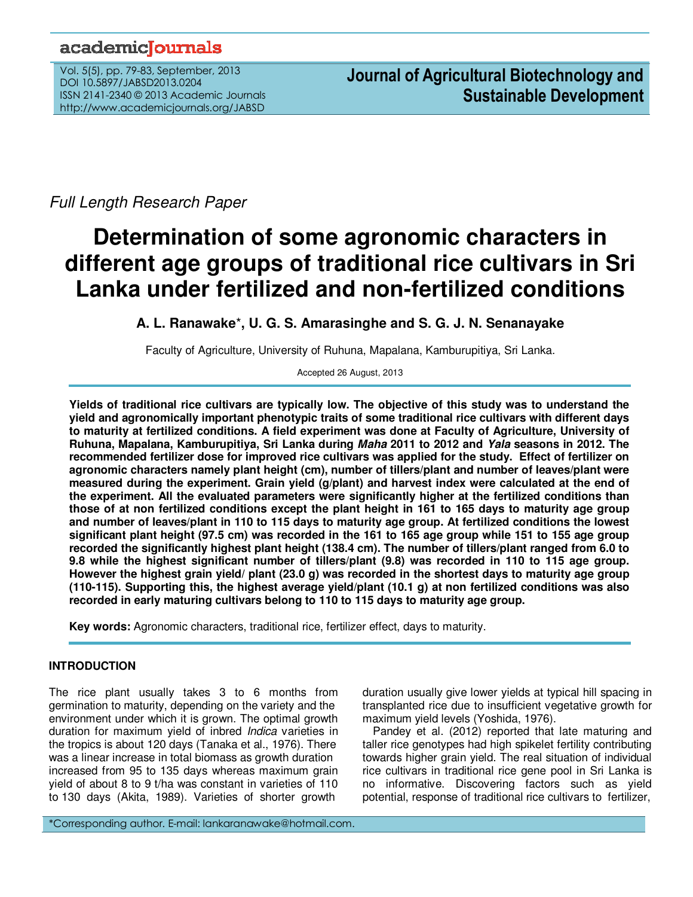## academiclournals

Vol. 5(5), pp. 79-83, September, 2013 DOI 10.5897/JABSD2013.0204 ISSN 2141-2340 © 2013 Academic Journals http://www.academicjournals.org/JABSD

Full Length Research Paper

# **Determination of some agronomic characters in different age groups of traditional rice cultivars in Sri Lanka under fertilized and non-fertilized conditions**

### **A. L. Ranawake**\***, U. G. S. Amarasinghe and S. G. J. N. Senanayake**

Faculty of Agriculture, University of Ruhuna, Mapalana, Kamburupitiya, Sri Lanka.

Accepted 26 August, 2013

**Yields of traditional rice cultivars are typically low. The objective of this study was to understand the yield and agronomically important phenotypic traits of some traditional rice cultivars with different days to maturity at fertilized conditions. A field experiment was done at Faculty of Agriculture, University of Ruhuna, Mapalana, Kamburupitiya, Sri Lanka during Maha 2011 to 2012 and Yala seasons in 2012. The recommended fertilizer dose for improved rice cultivars was applied for the study. Effect of fertilizer on agronomic characters namely plant height (cm), number of tillers/plant and number of leaves/plant were measured during the experiment. Grain yield (g/plant) and harvest index were calculated at the end of the experiment. All the evaluated parameters were significantly higher at the fertilized conditions than those of at non fertilized conditions except the plant height in 161 to 165 days to maturity age group and number of leaves/plant in 110 to 115 days to maturity age group. At fertilized conditions the lowest significant plant height (97.5 cm) was recorded in the 161 to 165 age group while 151 to 155 age group recorded the significantly highest plant height (138.4 cm). The number of tillers/plant ranged from 6.0 to 9.8 while the highest significant number of tillers/plant (9.8) was recorded in 110 to 115 age group. However the highest grain yield/ plant (23.0 g) was recorded in the shortest days to maturity age group (110-115). Supporting this, the highest average yield/plant (10.1 g) at non fertilized conditions was also recorded in early maturing cultivars belong to 110 to 115 days to maturity age group.** 

**Key words:** Agronomic characters, traditional rice, fertilizer effect, days to maturity.

#### **INTRODUCTION**

The rice plant usually takes 3 to 6 months from germination to maturity, depending on the variety and the environment under which it is grown. The optimal growth duration for maximum yield of inbred *Indica* varieties in the tropics is about 120 days (Tanaka et al., 1976). There was a linear increase in total biomass as growth duration increased from 95 to 135 days whereas maximum grain yield of about 8 to 9 t/ha was constant in varieties of 110 to 130 days (Akita, 1989). Varieties of shorter growth

duration usually give lower yields at typical hill spacing in transplanted rice due to insufficient vegetative growth for maximum yield levels (Yoshida, 1976).

Pandey et al. (2012) reported that late maturing and taller rice genotypes had high spikelet fertility contributing towards higher grain yield. The real situation of individual rice cultivars in traditional rice gene pool in Sri Lanka is no informative. Discovering factors such as yield potential, response of traditional rice cultivars to fertilizer,

\*Corresponding author. E-mail: lankaranawake@hotmail.com.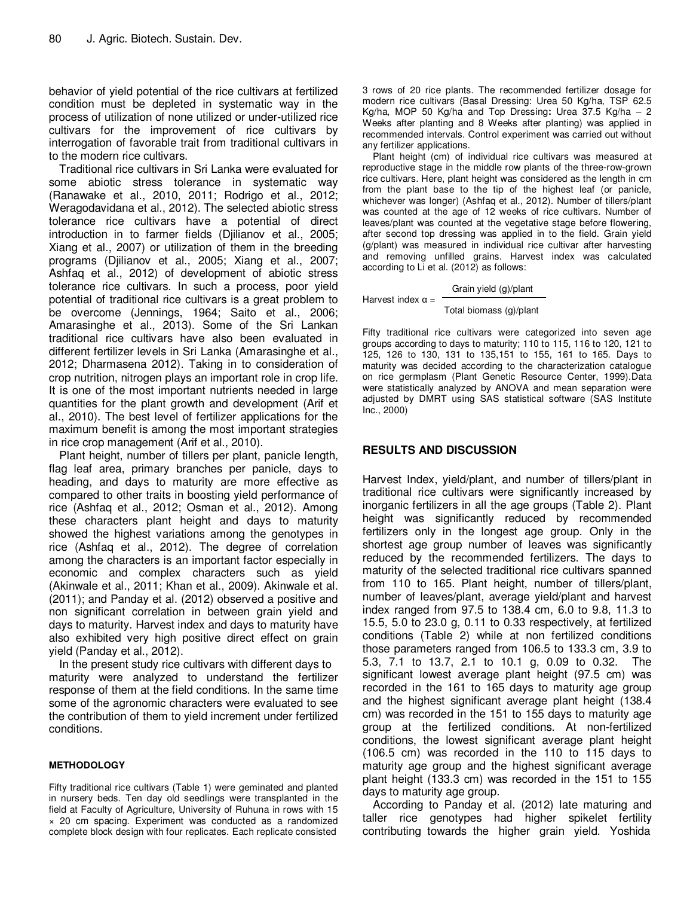behavior of yield potential of the rice cultivars at fertilized condition must be depleted in systematic way in the process of utilization of none utilized or under-utilized rice cultivars for the improvement of rice cultivars by interrogation of favorable trait from traditional cultivars in to the modern rice cultivars.

Traditional rice cultivars in Sri Lanka were evaluated for some abiotic stress tolerance in systematic way (Ranawake et al., 2010, 2011; Rodrigo et al., 2012; Weragodavidana et al., 2012). The selected abiotic stress tolerance rice cultivars have a potential of direct introduction in to farmer fields (Djilianov et al., 2005; Xiang et al., 2007) or utilization of them in the breeding programs (Djilianov et al., 2005; Xiang et al., 2007; Ashfaq et al., 2012) of development of abiotic stress tolerance rice cultivars. In such a process, poor yield potential of traditional rice cultivars is a great problem to be overcome (Jennings, 1964; Saito et al., 2006; Amarasinghe et al., 2013). Some of the Sri Lankan traditional rice cultivars have also been evaluated in different fertilizer levels in Sri Lanka (Amarasinghe et al., 2012; Dharmasena 2012). Taking in to consideration of crop nutrition, nitrogen plays an important role in crop life. It is one of the most important nutrients needed in large quantities for the plant growth and development (Arif et al., 2010). The best level of fertilizer applications for the maximum benefit is among the most important strategies in rice crop management (Arif et al., 2010).

Plant height, number of tillers per plant, panicle length, flag leaf area, primary branches per panicle, days to heading, and days to maturity are more effective as compared to other traits in boosting yield performance of rice (Ashfaq et al., 2012; Osman et al., 2012). Among these characters plant height and days to maturity showed the highest variations among the genotypes in rice (Ashfaq et al., 2012). The degree of correlation among the characters is an important factor especially in economic and complex characters such as yield (Akinwale et al., 2011; Khan et al., 2009). Akinwale et al. (2011); and Panday et al. (2012) observed a positive and non significant correlation in between grain yield and days to maturity. Harvest index and days to maturity have also exhibited very high positive direct effect on grain yield (Panday et al., 2012).

In the present study rice cultivars with different days to maturity were analyzed to understand the fertilizer response of them at the field conditions. In the same time some of the agronomic characters were evaluated to see the contribution of them to yield increment under fertilized conditions.

#### **METHODOLOGY**

Fifty traditional rice cultivars (Table 1) were geminated and planted in nursery beds. Ten day old seedlings were transplanted in the field at Faculty of Agriculture, University of Ruhuna in rows with 15 × 20 cm spacing. Experiment was conducted as a randomized complete block design with four replicates. Each replicate consisted 3 rows of 20 rice plants. The recommended fertilizer dosage for modern rice cultivars (Basal Dressing: Urea 50 Kg/ha, TSP 62.5 Kg/ha, MOP 50 Kg/ha and Top Dressing**:** Urea 37.5 Kg/ha – 2 Weeks after planting and 8 Weeks after planting) was applied in recommended intervals. Control experiment was carried out without any fertilizer applications.

Plant height (cm) of individual rice cultivars was measured at reproductive stage in the middle row plants of the three-row-grown rice cultivars. Here, plant height was considered as the length in cm from the plant base to the tip of the highest leaf (or panicle, whichever was longer) (Ashfaq et al., 2012). Number of tillers/plant was counted at the age of 12 weeks of rice cultivars. Number of leaves/plant was counted at the vegetative stage before flowering, after second top dressing was applied in to the field. Grain yield (g/plant) was measured in individual rice cultivar after harvesting and removing unfilled grains. Harvest index was calculated according to Li et al. (2012) as follows:

#### Grain yield (g)/plant

#### Total biomass (g)/plant

Fifty traditional rice cultivars were categorized into seven age groups according to days to maturity; 110 to 115, 116 to 120, 121 to 125, 126 to 130, 131 to 135,151 to 155, 161 to 165. Days to maturity was decided according to the characterization catalogue on rice germplasm (Plant Genetic Resource Center, 1999).Data were statistically analyzed by ANOVA and mean separation were adjusted by DMRT using SAS statistical software (SAS Institute Inc., 2000)

#### **RESULTS AND DISCUSSION**

Harvest index  $\alpha =$ 

Harvest Index, yield/plant, and number of tillers/plant in traditional rice cultivars were significantly increased by inorganic fertilizers in all the age groups (Table 2). Plant height was significantly reduced by recommended fertilizers only in the longest age group. Only in the shortest age group number of leaves was significantly reduced by the recommended fertilizers. The days to maturity of the selected traditional rice cultivars spanned from 110 to 165. Plant height, number of tillers/plant, number of leaves/plant, average yield/plant and harvest index ranged from 97.5 to 138.4 cm, 6.0 to 9.8, 11.3 to 15.5, 5.0 to 23.0 g, 0.11 to 0.33 respectively, at fertilized conditions (Table 2) while at non fertilized conditions those parameters ranged from 106.5 to 133.3 cm, 3.9 to 5.3, 7.1 to 13.7, 2.1 to 10.1 g, 0.09 to 0.32. The significant lowest average plant height (97.5 cm) was recorded in the 161 to 165 days to maturity age group and the highest significant average plant height (138.4 cm) was recorded in the 151 to 155 days to maturity age group at the fertilized conditions. At non-fertilized conditions, the lowest significant average plant height (106.5 cm) was recorded in the 110 to 115 days to maturity age group and the highest significant average plant height (133.3 cm) was recorded in the 151 to 155 days to maturity age group.

According to Panday et al. (2012) late maturing and taller rice genotypes had higher spikelet fertility contributing towards the higher grain yield. Yoshida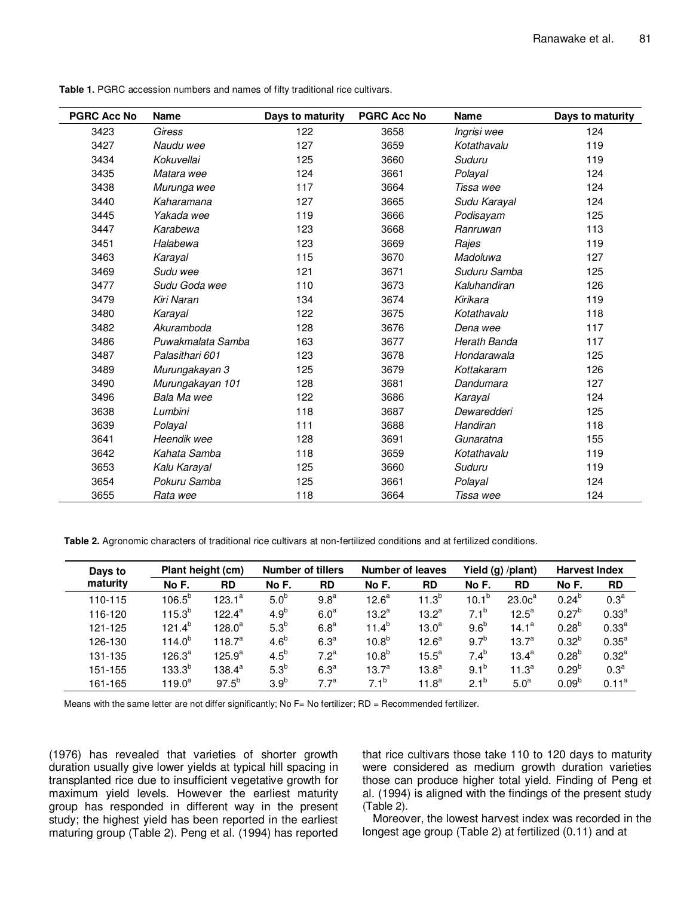| <b>PGRC Acc No</b> | <b>Name</b>       | Days to maturity | <b>PGRC Acc No</b> | <b>Name</b>  | Days to maturity |  |
|--------------------|-------------------|------------------|--------------------|--------------|------------------|--|
| 3423               | Giress            | 122              | 3658               | Ingrisi wee  | 124              |  |
| 3427               | Naudu wee         | 127              | 3659               | Kotathavalu  | 119              |  |
| 3434               | Kokuvellai        | 125              | 3660               | Suduru       | 119              |  |
| 3435               | Matara wee        | 124              | 3661               | Polayal      | 124              |  |
| 3438               | Murunga wee       | 117              | 3664               | Tissa wee    | 124              |  |
| 3440               | Kaharamana        | 127              | 3665               | Sudu Karayal | 124              |  |
| 3445               | Yakada wee        | 119              | 3666               | Podisayam    | 125              |  |
| 3447               | Karabewa          | 123              | 3668               | Ranruwan     | 113              |  |
| 3451               | Halabewa          | 123              | 3669               | Rajes        | 119              |  |
| 3463               | Karayal           | 115              | 3670               | Madoluwa     | 127              |  |
| 3469               | Sudu wee          | 121              | 3671               | Suduru Samba | 125              |  |
| 3477               | Sudu Goda wee     | 110              | 3673               | Kaluhandiran | 126              |  |
| 3479               | Kiri Naran        | 134              | 3674               | Kirikara     | 119              |  |
| 3480               | Karayal           | 122              | 3675               | Kotathavalu  | 118              |  |
| 3482               | Akuramboda        | 128              | 3676               | Dena wee     | 117              |  |
| 3486               | Puwakmalata Samba | 163              | 3677               | Herath Banda | 117              |  |
| 3487               | Palasithari 601   | 123              | 3678               | Hondarawala  | 125              |  |
| 3489               | Murungakayan 3    | 125              | 3679               | Kottakaram   | 126              |  |
| 3490               | Murungakayan 101  | 128              | 3681               | Dandumara    | 127              |  |
| 3496               | Bala Ma wee       | 122              | 3686               | Karayal      | 124              |  |
| 3638               | Lumbini           | 118              | 3687               | Dewaredderi  | 125              |  |
| 3639               | Polayal           | 111              | 3688               | Handiran     | 118              |  |
| 3641               | Heendik wee       | 128              | 3691               | Gunaratna    | 155              |  |
| 3642               | Kahata Samba      | 118              | 3659               | Kotathavalu  | 119              |  |
| 3653               | Kalu Karayal      | 125              | 3660               | Suduru       | 119              |  |
| 3654               | Pokuru Samba      | 125              | 3661               | Polayal      | 124              |  |
| 3655               | Rata wee          | 118              | 3664               | Tissa wee    | 124              |  |

Table 1. PGRC accession numbers and names of fifty traditional rice cultivars.

**Table 2.** Agronomic characters of traditional rice cultivars at non-fertilized conditions and at fertilized conditions.

| Days to<br>maturity | Plant height (cm) |             | <b>Number of tillers</b> |                  | <b>Number of leaves</b> |                   | Yield (g) /plant) |                    | <b>Harvest Index</b> |                   |
|---------------------|-------------------|-------------|--------------------------|------------------|-------------------------|-------------------|-------------------|--------------------|----------------------|-------------------|
|                     | No F.             | <b>RD</b>   | No F.                    | <b>RD</b>        | No F.                   | <b>RD</b>         | No F.             | <b>RD</b>          | No F.                | <b>RD</b>         |
| 110-115             | $106.5^{b}$       | $123.1^a$   | 5.0 <sup>b</sup>         | 9.8 <sup>a</sup> | 12.6 <sup>a</sup>       | $11.3^{b}$        | $10.1^{b}$        | 23.0c <sup>a</sup> | $0.24^{b}$           | 0.3 <sup>a</sup>  |
| 116-120             | $115.3^{b}$       | $122.4^a$   | 4.9 <sup>b</sup>         | 6.0 <sup>a</sup> | $13.2^a$                | $13.2^a$          | $7.1^b$           | $12.5^a$           | $0.27^{b}$           | 0.33 <sup>a</sup> |
| 121-125             | $121.4^{b}$       | $128.0^a$   | 5.3 <sup>b</sup>         | 6.8 <sup>a</sup> | $11.4^{b}$              | 13.0 <sup>a</sup> | 9.6 <sup>b</sup>  | $14.1^a$           | $0.28^{b}$           | 0.33 <sup>a</sup> |
| 126-130             | $114.0^{b}$       | $118.7^a$   | 4.6 <sup>b</sup>         | 6.3 <sup>a</sup> | $10.8^{b}$              | 12.6 <sup>a</sup> | $9.7^{b}$         | $13.7^{\circ}$     | $0.32^{b}$           | $0.35^{a}$        |
| 131-135             | $126.3^{a}$       | $125.9^{a}$ | $4.5^b$                  | 7.2 <sup>a</sup> | $10.8^{b}$              | $15.5^{\circ}$    | $7.4^{b}$         | $13.4^a$           | $0.28^{b}$           | $0.32^{a}$        |
| 151-155             | $133.3^{b}$       | $138.4^a$   | $5.3^b$                  | 6.3 <sup>a</sup> | $13.7^{\circ}$          | $13.8^a$          | $9.1^{b}$         | $11.3^a$           | $0.29^{b}$           | 0.3 <sup>a</sup>  |
| 161-165             | $119.0^a$         | $97.5^{b}$  | 3.9 <sup>b</sup>         | 7.7 <sup>a</sup> | $7.1^{b}$               | 11.8 <sup>a</sup> | $2.1^{b}$         | 5.0 <sup>a</sup>   | $0.09^{b}$           | 0.11 <sup>a</sup> |

Means with the same letter are not differ significantly; No F= No fertilizer; RD = Recommended fertilizer.

(1976) has revealed that varieties of shorter growth duration usually give lower yields at typical hill spacing in transplanted rice due to insufficient vegetative growth for maximum yield levels. However the earliest maturity group has responded in different way in the present study; the highest yield has been reported in the earliest maturing group (Table 2). Peng et al. (1994) has reported that rice cultivars those take 110 to 120 days to maturity were considered as medium growth duration varieties those can produce higher total yield. Finding of Peng et al. (1994) is aligned with the findings of the present study (Table 2).

Moreover, the lowest harvest index was recorded in the longest age group (Table 2) at fertilized (0.11) and at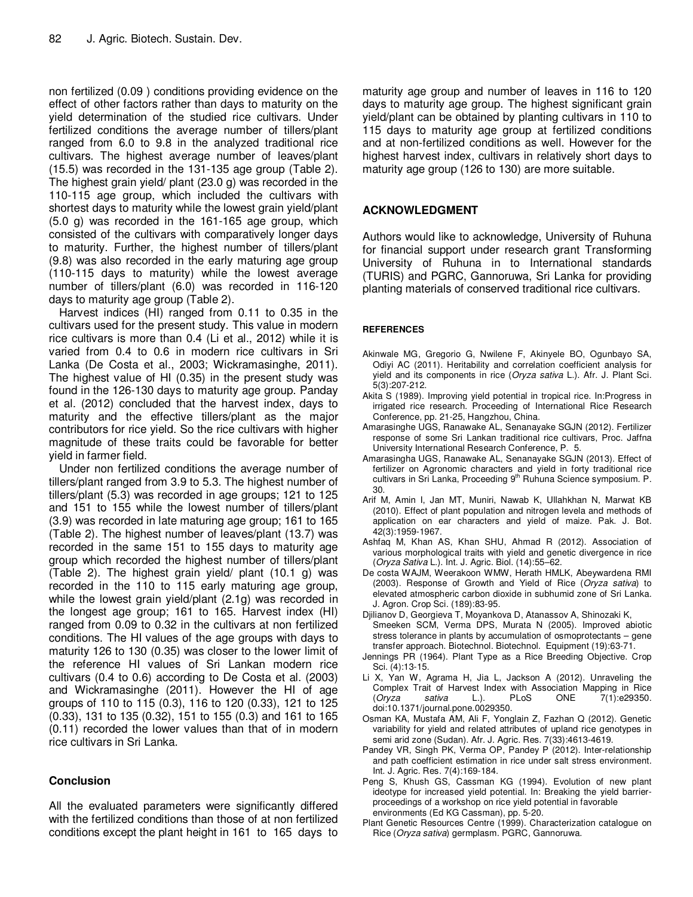non fertilized (0.09 ) conditions providing evidence on the effect of other factors rather than days to maturity on the yield determination of the studied rice cultivars. Under fertilized conditions the average number of tillers/plant ranged from 6.0 to 9.8 in the analyzed traditional rice cultivars. The highest average number of leaves/plant (15.5) was recorded in the 131-135 age group (Table 2). The highest grain yield/ plant (23.0 g) was recorded in the 110-115 age group, which included the cultivars with shortest days to maturity while the lowest grain yield/plant (5.0 g) was recorded in the 161-165 age group, which consisted of the cultivars with comparatively longer days to maturity. Further, the highest number of tillers/plant (9.8) was also recorded in the early maturing age group (110-115 days to maturity) while the lowest average number of tillers/plant (6.0) was recorded in 116-120 days to maturity age group (Table 2).

Harvest indices (HI) ranged from 0.11 to 0.35 in the cultivars used for the present study. This value in modern rice cultivars is more than 0.4 (Li et al., 2012) while it is varied from 0.4 to 0.6 in modern rice cultivars in Sri Lanka (De Costa et al., 2003; Wickramasinghe, 2011). The highest value of HI (0.35) in the present study was found in the 126-130 days to maturity age group. Panday et al. (2012) concluded that the harvest index, days to maturity and the effective tillers/plant as the major contributors for rice yield. So the rice cultivars with higher magnitude of these traits could be favorable for better yield in farmer field.

Under non fertilized conditions the average number of tillers/plant ranged from 3.9 to 5.3. The highest number of tillers/plant (5.3) was recorded in age groups; 121 to 125 and 151 to 155 while the lowest number of tillers/plant (3.9) was recorded in late maturing age group; 161 to 165 (Table 2). The highest number of leaves/plant (13.7) was recorded in the same 151 to 155 days to maturity age group which recorded the highest number of tillers/plant (Table 2). The highest grain yield/ plant (10.1 g) was recorded in the 110 to 115 early maturing age group, while the lowest grain yield/plant (2.1g) was recorded in the longest age group; 161 to 165. Harvest index (HI) ranged from 0.09 to 0.32 in the cultivars at non fertilized conditions. The HI values of the age groups with days to maturity 126 to 130 (0.35) was closer to the lower limit of the reference HI values of Sri Lankan modern rice cultivars (0.4 to 0.6) according to De Costa et al. (2003) and Wickramasinghe (2011). However the HI of age groups of 110 to 115 (0.3), 116 to 120 (0.33), 121 to 125 (0.33), 131 to 135 (0.32), 151 to 155 (0.3) and 161 to 165 (0.11) recorded the lower values than that of in modern rice cultivars in Sri Lanka.

#### **Conclusion**

All the evaluated parameters were significantly differed with the fertilized conditions than those of at non fertilized conditions except the plant height in 161 to 165 days to

maturity age group and number of leaves in 116 to 120 days to maturity age group. The highest significant grain yield/plant can be obtained by planting cultivars in 110 to 115 days to maturity age group at fertilized conditions and at non-fertilized conditions as well. However for the highest harvest index, cultivars in relatively short days to maturity age group (126 to 130) are more suitable.

#### **ACKNOWLEDGMENT**

Authors would like to acknowledge, University of Ruhuna for financial support under research grant Transforming University of Ruhuna in to International standards (TURIS) and PGRC, Gannoruwa, Sri Lanka for providing planting materials of conserved traditional rice cultivars.

#### **REFERENCES**

- Akinwale MG, Gregorio G, Nwilene F, Akinyele BO, Ogunbayo SA, Odiyi AC (2011). Heritability and correlation coefficient analysis for yield and its components in rice (Oryza sativa L.). Afr. J. Plant Sci. 5(3):207-212.
- Akita S (1989). Improving yield potential in tropical rice. In:Progress in irrigated rice research. Proceeding of International Rice Research Conference, pp. 21-25, Hangzhou, China.
- Amarasinghe UGS, Ranawake AL, Senanayake SGJN (2012). Fertilizer response of some Sri Lankan traditional rice cultivars, Proc. Jaffna University International Research Conference, P. 5.
- Amarasingha UGS, Ranawake AL, Senanayake SGJN (2013). Effect of fertilizer on Agronomic characters and yield in forty traditional rice cultivars in Sri Lanka, Proceeding 9<sup>th</sup> Ruhuna Science symposium. P. 30.
- Arif M, Amin I, Jan MT, Muniri, Nawab K, Ullahkhan N, Marwat KB (2010). Effect of plant population and nitrogen levela and methods of application on ear characters and yield of maize. Pak. J. Bot. 42(3):1959-1967.
- Ashfaq M, Khan AS, Khan SHU, Ahmad R (2012). Association of various morphological traits with yield and genetic divergence in rice (Oryza Sativa L.). Int. J. Agric. Biol. (14):55–62.
- De costa WAJM, Weerakoon WMW, Herath HMLK, Abeywardena RMI (2003). Response of Growth and Yield of Rice (Oryza sativa) to elevated atmospheric carbon dioxide in subhumid zone of Sri Lanka. J. Agron. Crop Sci. (189):83-95.
- Djilianov D, Georgieva T, Moyankova D, Atanassov A, Shinozaki K, Smeeken SCM, Verma DPS, Murata N (2005). Improved abiotic stress tolerance in plants by accumulation of osmoprotectants – gene transfer approach. Biotechnol. Biotechnol. Equipment (19):63-71.
- Jennings PR (1964). Plant Type as a Rice Breeding Objective. Crop Sci. (4):13-15.
- Li X, Yan W, Agrama H, Jia L, Jackson A (2012). Unraveling the Complex Trait of Harvest Index with Association Mapping in Rice<br>(*Oryza sativa* L.). PLoS ONE 7(1):e29350. (Oryza sativa L.). PLoS ONE 7(1):e29350. doi:10.1371/journal.pone.0029350.
- Osman KA, Mustafa AM, Ali F, Yonglain Z, Fazhan Q (2012). Genetic variability for yield and related attributes of upland rice genotypes in semi arid zone (Sudan). Afr. J. Agric. Res. 7(33):4613-4619.
- Pandey VR, Singh PK, Verma OP, Pandey P (2012). Inter-relationship and path coefficient estimation in rice under salt stress environment. Int. J. Agric. Res. 7(4):169-184.
- Peng S, Khush GS, Cassman KG (1994). Evolution of new plant ideotype for increased yield potential. In: Breaking the yield barrierproceedings of a workshop on rice yield potential in favorable environments (Ed KG Cassman), pp. 5-20.
- Plant Genetic Resources Centre (1999). Characterization catalogue on Rice (Oryza sativa) germplasm. PGRC, Gannoruwa.